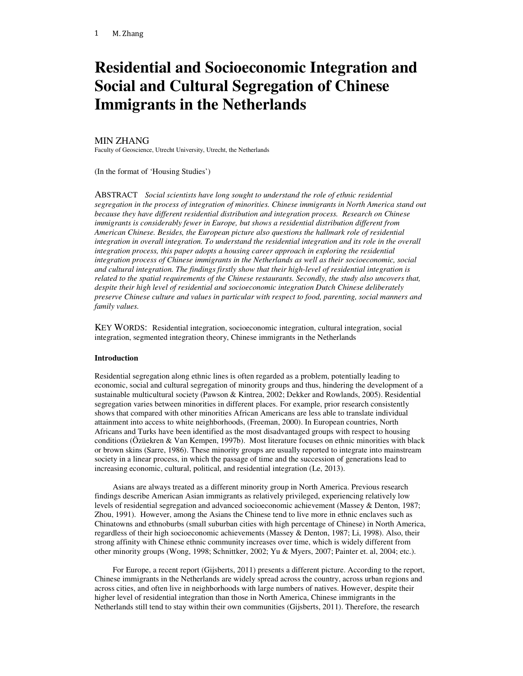# **Residential and Socioeconomic Integration and Social and Cultural Segregation of Chinese Immigrants in the Netherlands**

# MIN ZHANG

Faculty of Geoscience, Utrecht University, Utrecht, the Netherlands

(In the format of 'Housing Studies')

ABSTRACT *Social scientists have long sought to understand the role of ethnic residential segregation in the process of integration of minorities. Chinese immigrants in North America stand out because they have different residential distribution and integration process. Research on Chinese immigrants is considerably fewer in Europe, but shows a residential distribution different from American Chinese. Besides, the European picture also questions the hallmark role of residential integration in overall integration. To understand the residential integration and its role in the overall integration process, this paper adopts a housing career approach in exploring the residential integration process of Chinese immigrants in the Netherlands as well as their socioeconomic, social and cultural integration. The findings firstly show that their high-level of residential integration is related to the spatial requirements of the Chinese restaurants. Secondly, the study also uncovers that, despite their high level of residential and socioeconomic integration Dutch Chinese deliberately preserve Chinese culture and values in particular with respect to food, parenting, social manners and family values.*

KEY WORDS: Residential integration, socioeconomic integration, cultural integration, social integration, segmented integration theory, Chinese immigrants in the Netherlands

## **Introduction**

Residential segregation along ethnic lines is often regarded as a problem, potentially leading to economic, social and cultural segregation of minority groups and thus, hindering the development of a sustainable multicultural society (Pawson & Kintrea, 2002; Dekker and Rowlands, 2005). Residential segregation varies between minorities in different places. For example, prior research consistently shows that compared with other minorities African Americans are less able to translate individual attainment into access to white neighborhoods, (Freeman, 2000). In European countries, North Africans and Turks have been identified as the most disadvantaged groups with respect to housing conditions (Özüekren & Van Kempen, 1997b). Most literature focuses on ethnic minorities with black or brown skins (Sarre, 1986). These minority groups are usually reported to integrate into mainstream society in a linear process, in which the passage of time and the succession of generations lead to increasing economic, cultural, political, and residential integration (Le, 2013).

Asians are always treated as a different minority group in North America. Previous research findings describe American Asian immigrants as relatively privileged, experiencing relatively low levels of residential segregation and advanced socioeconomic achievement (Massey & Denton, 1987; Zhou, 1991). However, among the Asians the Chinese tend to live more in ethnic enclaves such as Chinatowns and ethnoburbs (small suburban cities with high percentage of Chinese) in North America, regardless of their high socioeconomic achievements (Massey & Denton, 1987; Li, 1998). Also, their strong affinity with Chinese ethnic community increases over time, which is widely different from other minority groups (Wong, 1998; Schnittker, 2002; Yu & Myers, 2007; Painter et. al, 2004; etc.).

For Europe, a recent report (Gijsberts, 2011) presents a different picture. According to the report, Chinese immigrants in the Netherlands are widely spread across the country, across urban regions and across cities, and often live in neighborhoods with large numbers of natives. However, despite their higher level of residential integration than those in North America, Chinese immigrants in the Netherlands still tend to stay within their own communities (Gijsberts, 2011). Therefore, the research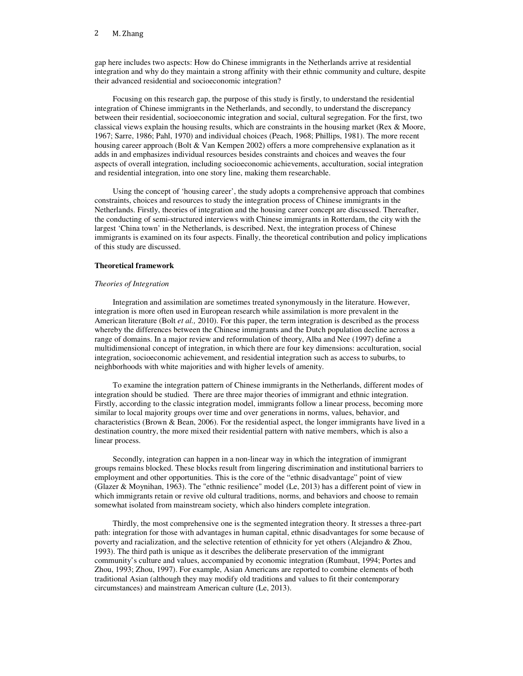gap here includes two aspects: How do Chinese immigrants in the Netherlands arrive at residential integration and why do they maintain a strong affinity with their ethnic community and culture, despite their advanced residential and socioeconomic integration?

Focusing on this research gap, the purpose of this study is firstly, to understand the residential integration of Chinese immigrants in the Netherlands, and secondly, to understand the discrepancy between their residential, socioeconomic integration and social, cultural segregation. For the first, two classical views explain the housing results, which are constraints in the housing market (Rex & Moore, 1967; Sarre, 1986; Pahl, 1970) and individual choices (Peach, 1968; Phillips, 1981). The more recent housing career approach (Bolt & Van Kempen 2002) offers a more comprehensive explanation as it adds in and emphasizes individual resources besides constraints and choices and weaves the four aspects of overall integration, including socioeconomic achievements, acculturation, social integration and residential integration, into one story line, making them researchable.

Using the concept of 'housing career', the study adopts a comprehensive approach that combines constraints, choices and resources to study the integration process of Chinese immigrants in the Netherlands. Firstly, theories of integration and the housing career concept are discussed. Thereafter, the conducting of semi-structured interviews with Chinese immigrants in Rotterdam, the city with the largest 'China town' in the Netherlands, is described. Next, the integration process of Chinese immigrants is examined on its four aspects. Finally, the theoretical contribution and policy implications of this study are discussed.

## **Theoretical framework**

## *Theories of Integration*

Integration and assimilation are sometimes treated synonymously in the literature. However, integration is more often used in European research while assimilation is more prevalent in the American literature (Bolt *et al.,* 2010). For this paper, the term integration is described as the process whereby the differences between the Chinese immigrants and the Dutch population decline across a range of domains. In a major review and reformulation of theory, Alba and Nee (1997) define a multidimensional concept of integration, in which there are four key dimensions: acculturation, social integration, socioeconomic achievement, and residential integration such as access to suburbs, to neighborhoods with white majorities and with higher levels of amenity.

To examine the integration pattern of Chinese immigrants in the Netherlands, different modes of integration should be studied. There are three major theories of immigrant and ethnic integration. Firstly, according to the classic integration model, immigrants follow a linear process, becoming more similar to local majority groups over time and over generations in norms, values, behavior, and characteristics (Brown & Bean, 2006). For the residential aspect, the longer immigrants have lived in a destination country, the more mixed their residential pattern with native members, which is also a linear process.

Secondly, integration can happen in a non-linear way in which the integration of immigrant groups remains blocked. These blocks result from lingering discrimination and institutional barriers to employment and other opportunities. This is the core of the "ethnic disadvantage" point of view (Glazer & Moynihan, 1963). The "ethnic resilience" model (Le, 2013) has a different point of view in which immigrants retain or revive old cultural traditions, norms, and behaviors and choose to remain somewhat isolated from mainstream society, which also hinders complete integration.

Thirdly, the most comprehensive one is the segmented integration theory. It stresses a three-part path: integration for those with advantages in human capital, ethnic disadvantages for some because of poverty and racialization, and the selective retention of ethnicity for yet others (Alejandro & Zhou, 1993). The third path is unique as it describes the deliberate preservation of the immigrant community's culture and values, accompanied by economic integration (Rumbaut, 1994; Portes and Zhou, 1993; Zhou, 1997). For example, Asian Americans are reported to combine elements of both traditional Asian (although they may modify old traditions and values to fit their contemporary circumstances) and mainstream American culture (Le, 2013).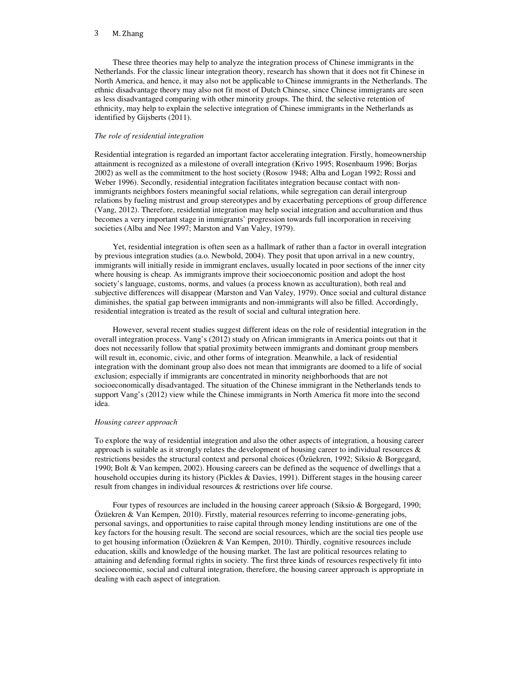These three theories may help to analyze the integration process of Chinese immigrants in the Netherlands. For the classic linear integration theory, research has shown that it does not fit Chinese in North America, and hence, it may also not be applicable to Chinese immigrants in the Netherlands. The ethnic disadvantage theory may also not fit most of Dutch Chinese, since Chinese immigrants are seen as less disadvantaged comparing with other minority groups. The third, the selective retention of ethnicity, may help to explain the selective integration of Chinese immigrants in the Netherlands as identified by Gijsberts (2011).

## *The role of residential integration*

Residential integration is regarded an important factor accelerating integration. Firstly, homeownership attainment is recognized as a milestone of overall integration (Krivo 1995; Rosenbaum 1996; Borjas 2002) as well as the commitment to the host society (Rosow 1948; Alba and Logan 1992; Rossi and Weber 1996). Secondly, residential integration facilitates integration because contact with nonimmigrants neighbors fosters meaningful social relations, while segregation can derail intergroup relations by fueling mistrust and group stereotypes and by exacerbating perceptions of group difference (Vang, 2012). Therefore, residential integration may help social integration and acculturation and thus becomes a very important stage in immigrants' progression towards full incorporation in receiving societies (Alba and Nee 1997; Marston and Van Valey, 1979).

Yet, residential integration is often seen as a hallmark of rather than a factor in overall integration by previous integration studies (a.o. Newbold, 2004). They posit that upon arrival in a new country, immigrants will initially reside in immigrant enclaves, usually located in poor sections of the inner city where housing is cheap. As immigrants improve their socioeconomic position and adopt the host society's language, customs, norms, and values (a process known as acculturation), both real and subjective differences will disappear (Marston and Van Valey, 1979). Once social and cultural distance diminishes, the spatial gap between immigrants and non-immigrants will also be filled. Accordingly, residential integration is treated as the result of social and cultural integration here.

However, several recent studies suggest different ideas on the role of residential integration in the overall integration process. Vang's (2012) study on African immigrants in America points out that it does not necessarily follow that spatial proximity between immigrants and dominant group members will result in, economic, civic, and other forms of integration. Meanwhile, a lack of residential integration with the dominant group also does not mean that immigrants are doomed to a life of social exclusion; especially if immigrants are concentrated in minority neighborhoods that are not socioeconomically disadvantaged. The situation of the Chinese immigrant in the Netherlands tends to support Vang's (2012) view while the Chinese immigrants in North America fit more into the second idea.

#### *Housing career approach*

To explore the way of residential integration and also the other aspects of integration, a housing career approach is suitable as it strongly relates the development of housing career to individual resources  $\&$ restrictions besides the structural context and personal choices (Özüekren, 1992; Siksio & Borgegard, 1990; Bolt & Van kempen, 2002). Housing careers can be defined as the sequence of dwellings that a household occupies during its history (Pickles & Davies, 1991). Different stages in the housing career result from changes in individual resources & restrictions over life course.

Four types of resources are included in the housing career approach (Siksio & Borgegard, 1990; Özüekren & Van Kempen, 2010). Firstly, material resources referring to income-generating jobs, personal savings, and opportunities to raise capital through money lending institutions are one of the key factors for the housing result. The second are social resources, which are the social ties people use to get housing information (Ozüekren & Van Kempen, 2010). Thirdly, cognitive resources include education, skills and knowledge of the housing market. The last are political resources relating to attaining and defending formal rights in society. The first three kinds of resources respectively fit into socioeconomic, social and cultural integration, therefore, the housing career approach is appropriate in dealing with each aspect of integration.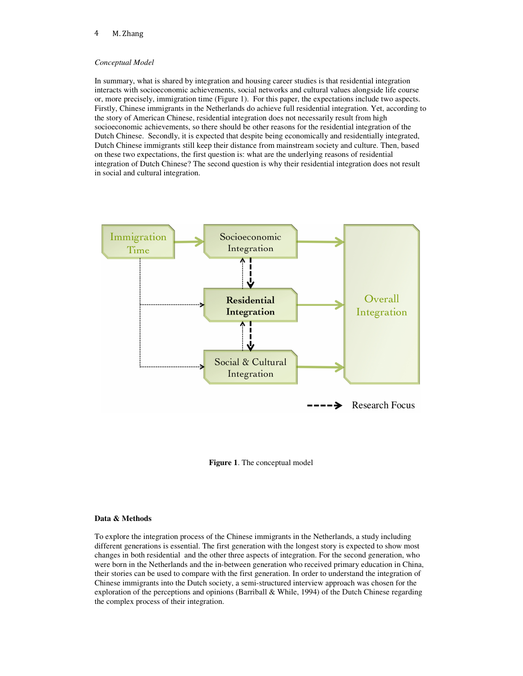## *Conceptual Model*

In summary, what is shared by integration and housing career studies is that residential integration interacts with socioeconomic achievements, social networks and cultural values alongside life course or, more precisely, immigration time (Figure 1). For this paper, the expectations include two aspects. Firstly, Chinese immigrants in the Netherlands do achieve full residential integration. Yet, according to the story of American Chinese, residential integration does not necessarily result from high socioeconomic achievements, so there should be other reasons for the residential integration of the Dutch Chinese. Secondly, it is expected that despite being economically and residentially integrated, Dutch Chinese immigrants still keep their distance from mainstream society and culture. Then, based on these two expectations, the first question is: what are the underlying reasons of residential integration of Dutch Chinese? The second question is why their residential integration does not result in social and cultural integration.



**Figure 1**. The conceptual model

## **Data & Methods**

To explore the integration process of the Chinese immigrants in the Netherlands, a study including different generations is essential. The first generation with the longest story is expected to show most changes in both residential and the other three aspects of integration. For the second generation, who were born in the Netherlands and the in-between generation who received primary education in China, their stories can be used to compare with the first generation. In order to understand the integration of Chinese immigrants into the Dutch society, a semi-structured interview approach was chosen for the exploration of the perceptions and opinions (Barriball & While, 1994) of the Dutch Chinese regarding the complex process of their integration.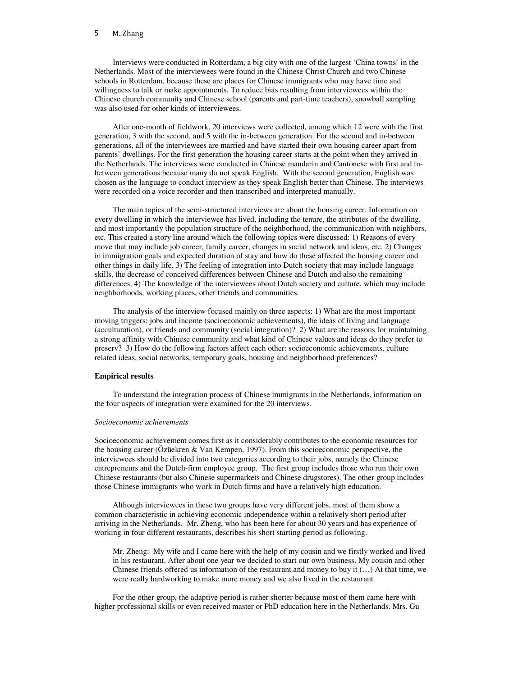Interviews were conducted in Rotterdam, a big city with one of the largest 'China towns' in the Netherlands. Most of the interviewees were found in the Chinese Christ Church and two Chinese schools in Rotterdam, because these are places for Chinese immigrants who may have time and willingness to talk or make appointments. To reduce bias resulting from interviewees within the Chinese church community and Chinese school (parents and part-time teachers), snowball sampling was also used for other kinds of interviewees.

After one-month of fieldwork, 20 interviews were collected, among which 12 were with the first generation, 3 with the second, and 5 with the in-between generation. For the second and in-between generations, all of the interviewees are married and have started their own housing career apart from parents' dwellings. For the first generation the housing career starts at the point when they arrived in the Netherlands. The interviews were conducted in Chinese mandarin and Cantonese with first and inbetween generations because many do not speak English. With the second generation, English was chosen as the language to conduct interview as they speak English better than Chinese. The interviews were recorded on a voice recorder and then transcribed and interpreted manually.

The main topics of the semi-structured interviews are about the housing career. Information on every dwelling in which the interviewee has lived, including the tenure, the attributes of the dwelling, and most importantly the population structure of the neighborhood, the communication with neighbors, etc. This created a story line around which the following topics were discussed: 1) Reasons of every move that may include job career, family career, changes in social network and ideas, etc. 2) Changes in immigration goals and expected duration of stay and how do these affected the housing career and other things in daily life. 3) The feeling of integration into Dutch society that may include language skills, the decrease of conceived differences between Chinese and Dutch and also the remaining differences. 4) The knowledge of the interviewees about Dutch society and culture, which may include neighborhoods, working places, other friends and communities.

The analysis of the interview focused mainly on three aspects: 1) What are the most important moving triggers: jobs and income (socioeconomic achievements), the ideas of living and language (acculturation), or friends and community (social integration)? 2) What are the reasons for maintaining a strong affinity with Chinese community and what kind of Chinese values and ideas do they prefer to preserv? 3) How do the following factors affect each other: socioeconomic achievements, culture related ideas, social networks, temporary goals, housing and neighborhood preferences?

# **Empirical results**

To understand the integration process of Chinese immigrants in the Netherlands, information on the four aspects of integration were examined for the 20 interviews.

# *Socioeconomic achievements*

Socioeconomic achievement comes first as it considerably contributes to the economic resources for the housing career (Özüekren & Van Kempen, 1997). From this socioeconomic perspective, the interviewees should be divided into two categories according to their jobs, namely the Chinese entrepreneurs and the Dutch-firm employee group. The first group includes those who run their own Chinese restaurants (but also Chinese supermarkets and Chinese drugstores). The other group includes those Chinese immigrants who work in Dutch firms and have a relatively high education.

Although interviewees in these two groups have very different jobs, most of them show a common characteristic in achieving economic independence within a relatively short period after arriving in the Netherlands. Mr. Zheng, who has been here for about 30 years and has experience of working in four different restaurants, describes his short starting period as following.

Mr. Zheng: My wife and I came here with the help of my cousin and we firstly worked and lived in his restaurant. After about one year we decided to start our own business. My cousin and other Chinese friends offered us information of the restaurant and money to buy it (…) At that time, we were really hardworking to make more money and we also lived in the restaurant.

For the other group, the adaptive period is rather shorter because most of them came here with higher professional skills or even received master or PhD education here in the Netherlands. Mrs. Gu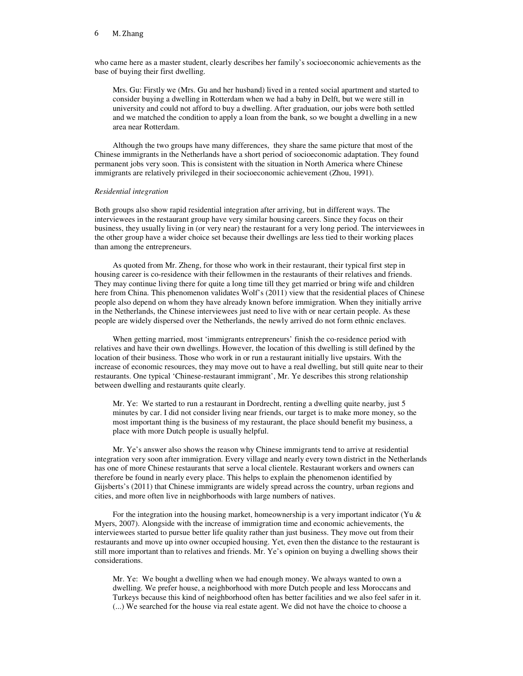who came here as a master student, clearly describes her family's socioeconomic achievements as the base of buying their first dwelling.

Mrs. Gu: Firstly we (Mrs. Gu and her husband) lived in a rented social apartment and started to consider buying a dwelling in Rotterdam when we had a baby in Delft, but we were still in university and could not afford to buy a dwelling. After graduation, our jobs were both settled and we matched the condition to apply a loan from the bank, so we bought a dwelling in a new area near Rotterdam.

Although the two groups have many differences, they share the same picture that most of the Chinese immigrants in the Netherlands have a short period of socioeconomic adaptation. They found permanent jobs very soon. This is consistent with the situation in North America where Chinese immigrants are relatively privileged in their socioeconomic achievement (Zhou, 1991).

# *Residential integration*

Both groups also show rapid residential integration after arriving, but in different ways. The interviewees in the restaurant group have very similar housing careers. Since they focus on their business, they usually living in (or very near) the restaurant for a very long period. The interviewees in the other group have a wider choice set because their dwellings are less tied to their working places than among the entrepreneurs.

As quoted from Mr. Zheng, for those who work in their restaurant, their typical first step in housing career is co-residence with their fellowmen in the restaurants of their relatives and friends. They may continue living there for quite a long time till they get married or bring wife and children here from China. This phenomenon validates Wolf's (2011) view that the residential places of Chinese people also depend on whom they have already known before immigration. When they initially arrive in the Netherlands, the Chinese interviewees just need to live with or near certain people. As these people are widely dispersed over the Netherlands, the newly arrived do not form ethnic enclaves.

When getting married, most 'immigrants entrepreneurs' finish the co-residence period with relatives and have their own dwellings. However, the location of this dwelling is still defined by the location of their business. Those who work in or run a restaurant initially live upstairs. With the increase of economic resources, they may move out to have a real dwelling, but still quite near to their restaurants. One typical 'Chinese-restaurant immigrant', Mr. Ye describes this strong relationship between dwelling and restaurants quite clearly.

Mr. Ye: We started to run a restaurant in Dordrecht, renting a dwelling quite nearby, just 5 minutes by car. I did not consider living near friends, our target is to make more money, so the most important thing is the business of my restaurant, the place should benefit my business, a place with more Dutch people is usually helpful.

Mr. Ye's answer also shows the reason why Chinese immigrants tend to arrive at residential integration very soon after immigration. Every village and nearly every town district in the Netherlands has one of more Chinese restaurants that serve a local clientele. Restaurant workers and owners can therefore be found in nearly every place. This helps to explain the phenomenon identified by Gijsberts's (2011) that Chinese immigrants are widely spread across the country, urban regions and cities, and more often live in neighborhoods with large numbers of natives.

For the integration into the housing market, homeownership is a very important indicator (Yu  $\&$ Myers, 2007). Alongside with the increase of immigration time and economic achievements, the interviewees started to pursue better life quality rather than just business. They move out from their restaurants and move up into owner occupied housing. Yet, even then the distance to the restaurant is still more important than to relatives and friends. Mr. Ye's opinion on buying a dwelling shows their considerations.

Mr. Ye: We bought a dwelling when we had enough money. We always wanted to own a dwelling. We prefer house, a neighborhood with more Dutch people and less Moroccans and Turkeys because this kind of neighborhood often has better facilities and we also feel safer in it. (...) We searched for the house via real estate agent. We did not have the choice to choose a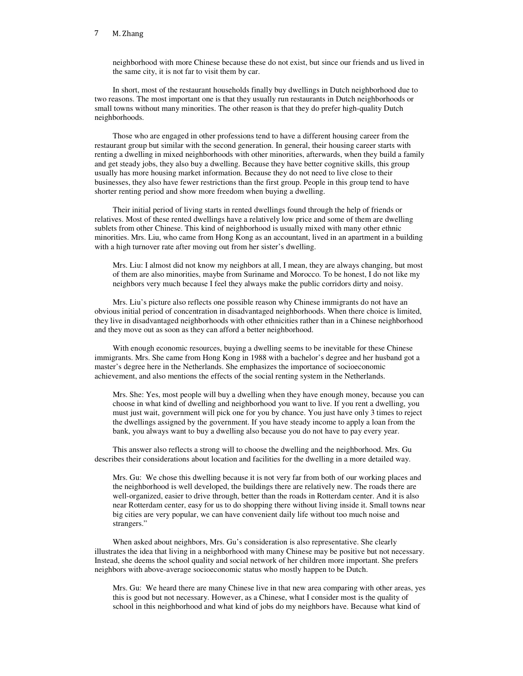neighborhood with more Chinese because these do not exist, but since our friends and us lived in the same city, it is not far to visit them by car.

In short, most of the restaurant households finally buy dwellings in Dutch neighborhood due to two reasons. The most important one is that they usually run restaurants in Dutch neighborhoods or small towns without many minorities. The other reason is that they do prefer high-quality Dutch neighborhoods.

Those who are engaged in other professions tend to have a different housing career from the restaurant group but similar with the second generation. In general, their housing career starts with renting a dwelling in mixed neighborhoods with other minorities, afterwards, when they build a family and get steady jobs, they also buy a dwelling. Because they have better cognitive skills, this group usually has more housing market information. Because they do not need to live close to their businesses, they also have fewer restrictions than the first group. People in this group tend to have shorter renting period and show more freedom when buying a dwelling.

Their initial period of living starts in rented dwellings found through the help of friends or relatives. Most of these rented dwellings have a relatively low price and some of them are dwelling sublets from other Chinese. This kind of neighborhood is usually mixed with many other ethnic minorities. Mrs. Liu, who came from Hong Kong as an accountant, lived in an apartment in a building with a high turnover rate after moving out from her sister's dwelling.

Mrs. Liu: I almost did not know my neighbors at all, I mean, they are always changing, but most of them are also minorities, maybe from Suriname and Morocco. To be honest, I do not like my neighbors very much because I feel they always make the public corridors dirty and noisy.

Mrs. Liu's picture also reflects one possible reason why Chinese immigrants do not have an obvious initial period of concentration in disadvantaged neighborhoods. When there choice is limited, they live in disadvantaged neighborhoods with other ethnicities rather than in a Chinese neighborhood and they move out as soon as they can afford a better neighborhood.

With enough economic resources, buying a dwelling seems to be inevitable for these Chinese immigrants. Mrs. She came from Hong Kong in 1988 with a bachelor's degree and her husband got a master's degree here in the Netherlands. She emphasizes the importance of socioeconomic achievement, and also mentions the effects of the social renting system in the Netherlands.

Mrs. She: Yes, most people will buy a dwelling when they have enough money, because you can choose in what kind of dwelling and neighborhood you want to live. If you rent a dwelling, you must just wait, government will pick one for you by chance. You just have only 3 times to reject the dwellings assigned by the government. If you have steady income to apply a loan from the bank, you always want to buy a dwelling also because you do not have to pay every year.

This answer also reflects a strong will to choose the dwelling and the neighborhood. Mrs. Gu describes their considerations about location and facilities for the dwelling in a more detailed way.

Mrs. Gu: We chose this dwelling because it is not very far from both of our working places and the neighborhood is well developed, the buildings there are relatively new. The roads there are well-organized, easier to drive through, better than the roads in Rotterdam center. And it is also near Rotterdam center, easy for us to do shopping there without living inside it. Small towns near big cities are very popular, we can have convenient daily life without too much noise and strangers."

When asked about neighbors, Mrs. Gu's consideration is also representative. She clearly illustrates the idea that living in a neighborhood with many Chinese may be positive but not necessary. Instead, she deems the school quality and social network of her children more important. She prefers neighbors with above-average socioeconomic status who mostly happen to be Dutch.

Mrs. Gu: We heard there are many Chinese live in that new area comparing with other areas, yes this is good but not necessary. However, as a Chinese, what I consider most is the quality of school in this neighborhood and what kind of jobs do my neighbors have. Because what kind of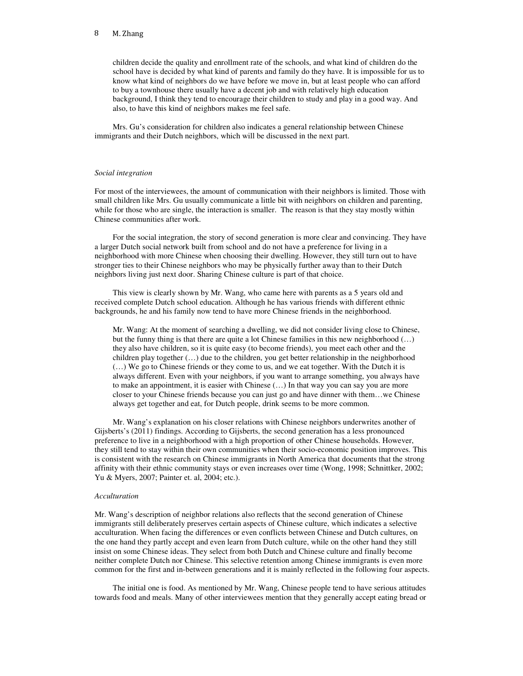children decide the quality and enrollment rate of the schools, and what kind of children do the school have is decided by what kind of parents and family do they have. It is impossible for us to know what kind of neighbors do we have before we move in, but at least people who can afford to buy a townhouse there usually have a decent job and with relatively high education background, I think they tend to encourage their children to study and play in a good way. And also, to have this kind of neighbors makes me feel safe.

Mrs. Gu's consideration for children also indicates a general relationship between Chinese immigrants and their Dutch neighbors, which will be discussed in the next part.

## *Social integration*

For most of the interviewees, the amount of communication with their neighbors is limited. Those with small children like Mrs. Gu usually communicate a little bit with neighbors on children and parenting, while for those who are single, the interaction is smaller. The reason is that they stay mostly within Chinese communities after work.

For the social integration, the story of second generation is more clear and convincing. They have a larger Dutch social network built from school and do not have a preference for living in a neighborhood with more Chinese when choosing their dwelling. However, they still turn out to have stronger ties to their Chinese neighbors who may be physically further away than to their Dutch neighbors living just next door. Sharing Chinese culture is part of that choice.

This view is clearly shown by Mr. Wang, who came here with parents as a 5 years old and received complete Dutch school education. Although he has various friends with different ethnic backgrounds, he and his family now tend to have more Chinese friends in the neighborhood.

Mr. Wang: At the moment of searching a dwelling, we did not consider living close to Chinese, but the funny thing is that there are quite a lot Chinese families in this new neighborhood (…) they also have children, so it is quite easy (to become friends), you meet each other and the children play together (…) due to the children, you get better relationship in the neighborhood (…) We go to Chinese friends or they come to us, and we eat together. With the Dutch it is always different. Even with your neighbors, if you want to arrange something, you always have to make an appointment, it is easier with Chinese (…) In that way you can say you are more closer to your Chinese friends because you can just go and have dinner with them…we Chinese always get together and eat, for Dutch people, drink seems to be more common.

Mr. Wang's explanation on his closer relations with Chinese neighbors underwrites another of Gijsberts's (2011) findings. According to Gijsberts, the second generation has a less pronounced preference to live in a neighborhood with a high proportion of other Chinese households. However, they still tend to stay within their own communities when their socio-economic position improves. This is consistent with the research on Chinese immigrants in North America that documents that the strong affinity with their ethnic community stays or even increases over time (Wong, 1998; Schnittker, 2002; Yu & Myers, 2007; Painter et. al, 2004; etc.).

## *Acculturation*

Mr. Wang's description of neighbor relations also reflects that the second generation of Chinese immigrants still deliberately preserves certain aspects of Chinese culture, which indicates a selective acculturation. When facing the differences or even conflicts between Chinese and Dutch cultures, on the one hand they partly accept and even learn from Dutch culture, while on the other hand they still insist on some Chinese ideas. They select from both Dutch and Chinese culture and finally become neither complete Dutch nor Chinese. This selective retention among Chinese immigrants is even more common for the first and in-between generations and it is mainly reflected in the following four aspects.

The initial one is food. As mentioned by Mr. Wang, Chinese people tend to have serious attitudes towards food and meals. Many of other interviewees mention that they generally accept eating bread or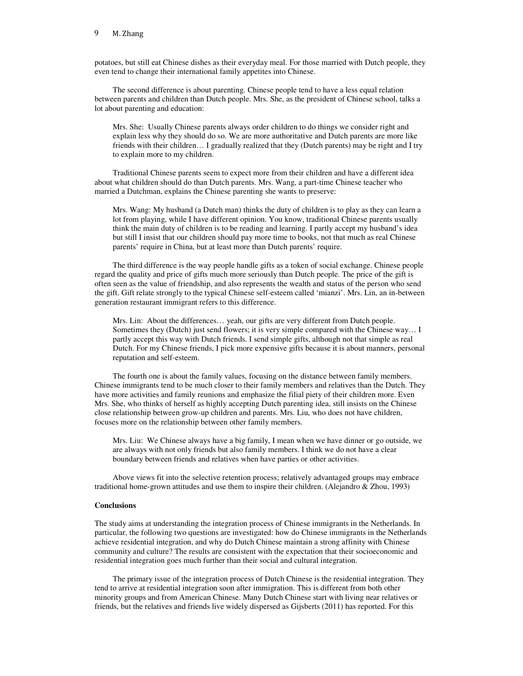potatoes, but still eat Chinese dishes as their everyday meal. For those married with Dutch people, they even tend to change their international family appetites into Chinese.

The second difference is about parenting. Chinese people tend to have a less equal relation between parents and children than Dutch people. Mrs. She, as the president of Chinese school, talks a lot about parenting and education:

Mrs. She: Usually Chinese parents always order children to do things we consider right and explain less why they should do so. We are more authoritative and Dutch parents are more like friends with their children… I gradually realized that they (Dutch parents) may be right and I try to explain more to my children.

Traditional Chinese parents seem to expect more from their children and have a different idea about what children should do than Dutch parents. Mrs. Wang, a part-time Chinese teacher who married a Dutchman, explains the Chinese parenting she wants to preserve:

Mrs. Wang: My husband (a Dutch man) thinks the duty of children is to play as they can learn a lot from playing, while I have different opinion. You know, traditional Chinese parents usually think the main duty of children is to be reading and learning. I partly accept my husband's idea but still I insist that our children should pay more time to books, not that much as real Chinese parents' require in China, but at least more than Dutch parents' require.

The third difference is the way people handle gifts as a token of social exchange. Chinese people regard the quality and price of gifts much more seriously than Dutch people. The price of the gift is often seen as the value of friendship, and also represents the wealth and status of the person who send the gift. Gift relate strongly to the typical Chinese self-esteem called 'mianzi'. Mrs. Lin, an in-between generation restaurant immigrant refers to this difference.

Mrs. Lin: About the differences… yeah, our gifts are very different from Dutch people. Sometimes they (Dutch) just send flowers; it is very simple compared with the Chinese way… I partly accept this way with Dutch friends. I send simple gifts, although not that simple as real Dutch. For my Chinese friends, I pick more expensive gifts because it is about manners, personal reputation and self-esteem.

The fourth one is about the family values, focusing on the distance between family members. Chinese immigrants tend to be much closer to their family members and relatives than the Dutch. They have more activities and family reunions and emphasize the filial piety of their children more. Even Mrs. She, who thinks of herself as highly accepting Dutch parenting idea, still insists on the Chinese close relationship between grow-up children and parents. Mrs. Liu, who does not have children, focuses more on the relationship between other family members.

Mrs. Liu: We Chinese always have a big family, I mean when we have dinner or go outside, we are always with not only friends but also family members. I think we do not have a clear boundary between friends and relatives when have parties or other activities.

Above views fit into the selective retention process; relatively advantaged groups may embrace traditional home-grown attitudes and use them to inspire their children. (Alejandro & Zhou, 1993)

# **Conclusions**

The study aims at understanding the integration process of Chinese immigrants in the Netherlands. In particular, the following two questions are investigated: how do Chinese immigrants in the Netherlands achieve residential integration, and why do Dutch Chinese maintain a strong affinity with Chinese community and culture? The results are consistent with the expectation that their socioeconomic and residential integration goes much further than their social and cultural integration.

The primary issue of the integration process of Dutch Chinese is the residential integration. They tend to arrive at residential integration soon after immigration. This is different from both other minority groups and from American Chinese. Many Dutch Chinese start with living near relatives or friends, but the relatives and friends live widely dispersed as Gijsberts (2011) has reported. For this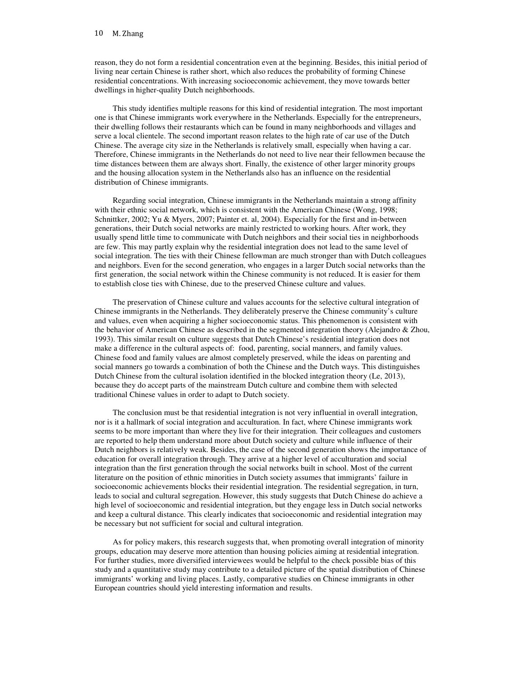reason, they do not form a residential concentration even at the beginning. Besides, this initial period of living near certain Chinese is rather short, which also reduces the probability of forming Chinese residential concentrations. With increasing socioeconomic achievement, they move towards better dwellings in higher-quality Dutch neighborhoods.

This study identifies multiple reasons for this kind of residential integration. The most important one is that Chinese immigrants work everywhere in the Netherlands. Especially for the entrepreneurs, their dwelling follows their restaurants which can be found in many neighborhoods and villages and serve a local clientele. The second important reason relates to the high rate of car use of the Dutch Chinese. The average city size in the Netherlands is relatively small, especially when having a car. Therefore, Chinese immigrants in the Netherlands do not need to live near their fellowmen because the time distances between them are always short. Finally, the existence of other larger minority groups and the housing allocation system in the Netherlands also has an influence on the residential distribution of Chinese immigrants.

Regarding social integration, Chinese immigrants in the Netherlands maintain a strong affinity with their ethnic social network, which is consistent with the American Chinese (Wong, 1998; Schnittker, 2002; Yu & Myers, 2007; Painter et. al, 2004). Especially for the first and in-between generations, their Dutch social networks are mainly restricted to working hours. After work, they usually spend little time to communicate with Dutch neighbors and their social ties in neighborhoods are few. This may partly explain why the residential integration does not lead to the same level of social integration. The ties with their Chinese fellowman are much stronger than with Dutch colleagues and neighbors. Even for the second generation, who engages in a larger Dutch social networks than the first generation, the social network within the Chinese community is not reduced. It is easier for them to establish close ties with Chinese, due to the preserved Chinese culture and values.

The preservation of Chinese culture and values accounts for the selective cultural integration of Chinese immigrants in the Netherlands. They deliberately preserve the Chinese community's culture and values, even when acquiring a higher socioeconomic status. This phenomenon is consistent with the behavior of American Chinese as described in the segmented integration theory (Alejandro & Zhou, 1993). This similar result on culture suggests that Dutch Chinese's residential integration does not make a difference in the cultural aspects of: food, parenting, social manners, and family values. Chinese food and family values are almost completely preserved, while the ideas on parenting and social manners go towards a combination of both the Chinese and the Dutch ways. This distinguishes Dutch Chinese from the cultural isolation identified in the blocked integration theory (Le, 2013), because they do accept parts of the mainstream Dutch culture and combine them with selected traditional Chinese values in order to adapt to Dutch society.

The conclusion must be that residential integration is not very influential in overall integration, nor is it a hallmark of social integration and acculturation. In fact, where Chinese immigrants work seems to be more important than where they live for their integration. Their colleagues and customers are reported to help them understand more about Dutch society and culture while influence of their Dutch neighbors is relatively weak. Besides, the case of the second generation shows the importance of education for overall integration through. They arrive at a higher level of acculturation and social integration than the first generation through the social networks built in school. Most of the current literature on the position of ethnic minorities in Dutch society assumes that immigrants' failure in socioeconomic achievements blocks their residential integration. The residential segregation, in turn, leads to social and cultural segregation. However, this study suggests that Dutch Chinese do achieve a high level of socioeconomic and residential integration, but they engage less in Dutch social networks and keep a cultural distance. This clearly indicates that socioeconomic and residential integration may be necessary but not sufficient for social and cultural integration.

As for policy makers, this research suggests that, when promoting overall integration of minority groups, education may deserve more attention than housing policies aiming at residential integration. For further studies, more diversified interviewees would be helpful to the check possible bias of this study and a quantitative study may contribute to a detailed picture of the spatial distribution of Chinese immigrants' working and living places. Lastly, comparative studies on Chinese immigrants in other European countries should yield interesting information and results.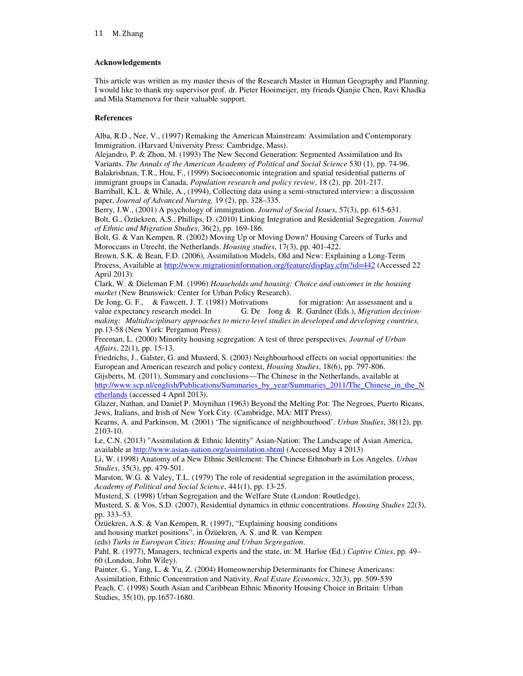# **Acknowledgements**

This article was written as my master thesis of the Research Master in Human Geography and Planning. I would like to thank my supervisor prof. dr. Pieter Hooimeijer, my friends Qianjie Chen, Ravi Khadka and Mila Stamenova for their valuable support.

# **References**

Alba, R.D., Nee, V., (1997) Remaking the American Mainstream: Assimilation and Contemporary Immigration. (Harvard University Press: Cambridge, Mass).

Alejandro, P. & Zhou, M. (1993) The New Second Generation: Segmented Assimilation and Its Variants. *The Annals of the American Academy of Political and Social Science* 530 (1), pp. 74-96. Balakrishnan, T.R., Hou, F., (1999) Socioeconomic integration and spatial residential patterns of immigrant groups in Canada, *Population research and policy review*, 18 (2), pp. 201-217.

Barriball, K.L. & While, A., (1994), Collecting data using a semi-structured interview: a discussion paper, *Journal of Advanced Nursing,* 19 (2), pp. 328–335.

Berry, J.W., (2001) A psychology of immigration. *Journal of Social Issues*, 57(3), pp. 615-631. Bolt, G., Özüekren, A.S., Phillips, D. (2010) Linking Integration and Residential Segregation. *Journal of Ethnic and Migration Studies*, 36(2), pp. 169-186.

Bolt, G. & Van Kempen, R. (2002) Moving Up or Moving Down? Housing Careers of Turks and Moroccans in Utrecht, the Netherlands. *Housing studies*, 17(3), pp. 401-422.

Brown, S.K. & Bean, F.D. (2006), Assimilation Models, Old and New: Explaining a Long-Term Process, Available at http://www.migrationinformation.org/feature/display.cfm?id=442 (Accessed 22 April 2013).

Clark, W. & Dieleman F.M. (1996) *Households and housing: Choice and outcomes in the housing market* (New Brunswick: Center for Urban Policy Research).

De Jong, G. F., & Fawcett, J. T. (1981) Motivations for migration: An assessment and a value expectancy research model. In G. De Jong & R. Gardner (Eds.), *Migration decisionmaking: Multidisciplinary approaches to micro level studies in developed and developing countries,*  pp.13-58 (New York: Pergamon Press).

Freeman, L. (2000) Minority housing segregation: A test of three perspectives. *Journal of Urban Affairs*, 22(1), pp. 15-13.

Friedrichs, J., Galster, G. and Musterd, S. (2003) Neighbourhood effects on social opportunities: the European and American research and policy context, *Housing Studies*, 18(6), pp. 797-806.

Gijsberts, M. (2011), Summary and conclusions—The Chinese in the Netherlands, available at http://www.scp.nl/english/Publications/Summaries\_by\_year/Summaries\_2011/The\_Chinese\_in\_the\_N etherlands (accessed 4 April 2013).

Glazer, Nathan, and Daniel P. Moynihan (1963) Beyond the Melting Pot: The Negroes, Puerto Ricans, Jews, Italians, and Irish of New York City. (Cambridge, MA: MIT Press).

Kearns, A. and Parkinson, M. (2001) 'The significance of neighbourhood'. *Urban Studies*, 38(12), pp. 2103-10.

Le, C.N. (2013) "Assimilation & Ethnic Identity" Asian-Nation: The Landscape of Asian America, available at http://www.asian-nation.org/assimilation.shtml (Accessed May 4 2013)

Li, W. (1998) Anatomy of a New Ethnic Settlement: The Chinese Ethnoburb in Los Angeles. *Urban Studies*, 35(3), pp. 479-501.

Marston, W.G. & Valey, T.L. (1979) The role of residential segregation in the assimilation process, *Academy of Political and Social Science*, 441(1), pp. 13-25.

Musterd, S. (1998) Urban Segregation and the Welfare State (London: Routledge).

Musterd, S. & Vos, S.D. (2007), Residential dynamics in ethnic concentrations. *Housing Studies* 22(3), pp. 333–53.

Özüekren, A.S. & Van Kempen, R. (1997), "Explaining housing conditions

and housing market positions", in Özüekren, A. S. and R. van Kempen

(eds) *Turks in European Cities: Housing and Urban Segregation*.

Pahl, R. (1977), Managers, technical experts and the state, in: M. Harloe (Ed.) *Captive Cities*, pp. 49– 60 (London, John Wiley).

Painter, G., Yang, L. & Yu, Z. (2004) Homeownership Determinants for Chinese Americans:

Assimilation, Ethnic Concentration and Nativity, *Real Estate Economics*, 32(3), pp. 509-539

Peach, C. (1998) South Asian and Caribbean Ethnic Minority Housing Choice in Britain: Urban Studies, 35(10), pp.1657-1680.